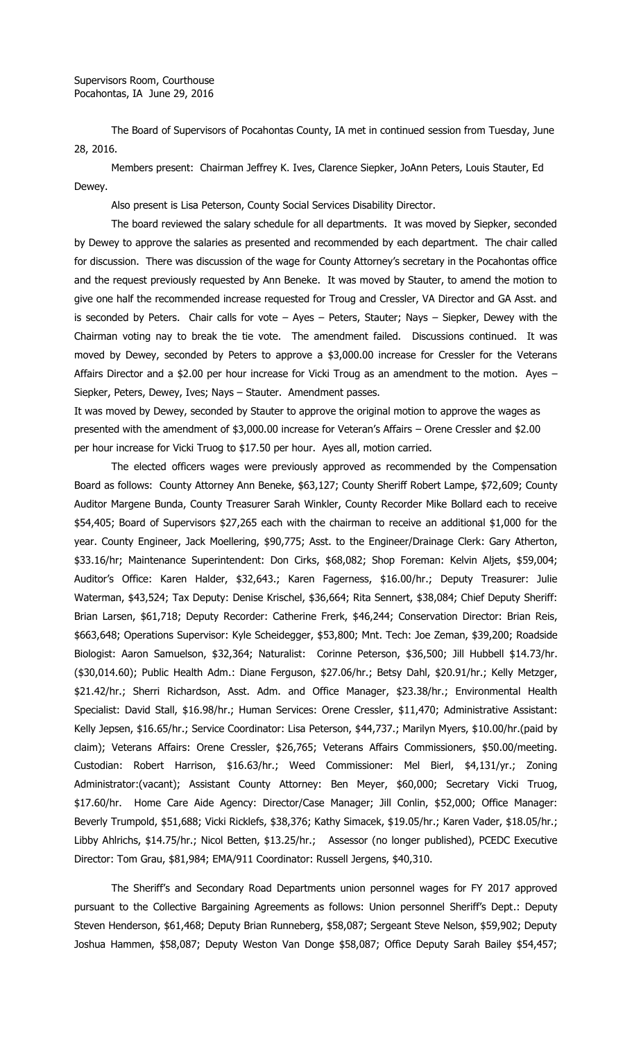The Board of Supervisors of Pocahontas County, IA met in continued session from Tuesday, June 28, 2016.

Members present: Chairman Jeffrey K. Ives, Clarence Siepker, JoAnn Peters, Louis Stauter, Ed Dewey.

Also present is Lisa Peterson, County Social Services Disability Director.

The board reviewed the salary schedule for all departments. It was moved by Siepker, seconded by Dewey to approve the salaries as presented and recommended by each department. The chair called for discussion. There was discussion of the wage for County Attorney's secretary in the Pocahontas office and the request previously requested by Ann Beneke. It was moved by Stauter, to amend the motion to give one half the recommended increase requested for Troug and Cressler, VA Director and GA Asst. and is seconded by Peters. Chair calls for vote – Ayes – Peters, Stauter; Nays – Siepker, Dewey with the Chairman voting nay to break the tie vote. The amendment failed. Discussions continued. It was moved by Dewey, seconded by Peters to approve a \$3,000.00 increase for Cressler for the Veterans Affairs Director and a \$2.00 per hour increase for Vicki Troug as an amendment to the motion. Ayes – Siepker, Peters, Dewey, Ives; Nays – Stauter. Amendment passes.

It was moved by Dewey, seconded by Stauter to approve the original motion to approve the wages as presented with the amendment of \$3,000.00 increase for Veteran's Affairs – Orene Cressler and \$2.00 per hour increase for Vicki Truog to \$17.50 per hour. Ayes all, motion carried.

The elected officers wages were previously approved as recommended by the Compensation Board as follows: County Attorney Ann Beneke, \$63,127; County Sheriff Robert Lampe, \$72,609; County Auditor Margene Bunda, County Treasurer Sarah Winkler, County Recorder Mike Bollard each to receive \$54,405; Board of Supervisors \$27,265 each with the chairman to receive an additional \$1,000 for the year. County Engineer, Jack Moellering, \$90,775; Asst. to the Engineer/Drainage Clerk: Gary Atherton, \$33.16/hr; Maintenance Superintendent: Don Cirks, \$68,082; Shop Foreman: Kelvin Aljets, \$59,004; Auditor's Office: Karen Halder, \$32,643.; Karen Fagerness, \$16.00/hr.; Deputy Treasurer: Julie Waterman, \$43,524; Tax Deputy: Denise Krischel, \$36,664; Rita Sennert, \$38,084; Chief Deputy Sheriff: Brian Larsen, \$61,718; Deputy Recorder: Catherine Frerk, \$46,244; Conservation Director: Brian Reis, \$663,648; Operations Supervisor: Kyle Scheidegger, \$53,800; Mnt. Tech: Joe Zeman, \$39,200; Roadside Biologist: Aaron Samuelson, \$32,364; Naturalist: Corinne Peterson, \$36,500; Jill Hubbell \$14.73/hr. (\$30,014.60); Public Health Adm.: Diane Ferguson, \$27.06/hr.; Betsy Dahl, \$20.91/hr.; Kelly Metzger, \$21.42/hr.; Sherri Richardson, Asst. Adm. and Office Manager, \$23.38/hr.; Environmental Health Specialist: David Stall, \$16.98/hr.; Human Services: Orene Cressler, \$11,470; Administrative Assistant: Kelly Jepsen, \$16.65/hr.; Service Coordinator: Lisa Peterson, \$44,737.; Marilyn Myers, \$10.00/hr.(paid by claim); Veterans Affairs: Orene Cressler, \$26,765; Veterans Affairs Commissioners, \$50.00/meeting. Custodian: Robert Harrison, \$16.63/hr.; Weed Commissioner: Mel Bierl, \$4,131/yr.; Zoning Administrator:(vacant); Assistant County Attorney: Ben Meyer, \$60,000; Secretary Vicki Truog, \$17.60/hr. Home Care Aide Agency: Director/Case Manager; Jill Conlin, \$52,000; Office Manager: Beverly Trumpold, \$51,688; Vicki Ricklefs, \$38,376; Kathy Simacek, \$19.05/hr.; Karen Vader, \$18.05/hr.; Libby Ahlrichs, \$14.75/hr.; Nicol Betten, \$13.25/hr.; Assessor (no longer published), PCEDC Executive Director: Tom Grau, \$81,984; EMA/911 Coordinator: Russell Jergens, \$40,310.

The Sheriff's and Secondary Road Departments union personnel wages for FY 2017 approved pursuant to the Collective Bargaining Agreements as follows: Union personnel Sheriff's Dept.: Deputy Steven Henderson, \$61,468; Deputy Brian Runneberg, \$58,087; Sergeant Steve Nelson, \$59,902; Deputy Joshua Hammen, \$58,087; Deputy Weston Van Donge \$58,087; Office Deputy Sarah Bailey \$54,457;